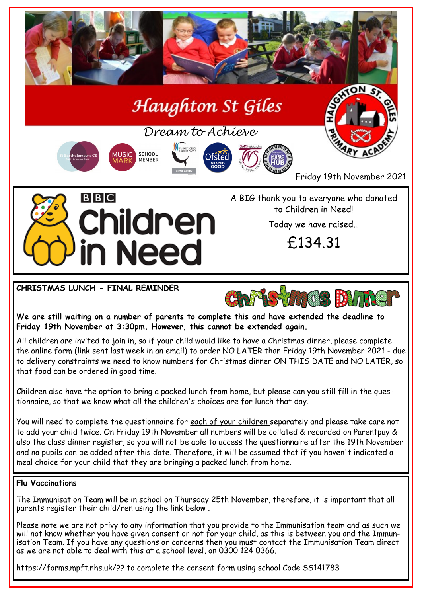

**CHRISTMAS LUNCH - FINAL REMINDER**



**We are still waiting on a number of parents to complete this and have extended the deadline to Friday 19th November at 3:30pm. However, this cannot be extended again.**

All children are invited to join in, so if your child would like to have a Christmas dinner, please complete the online form (link sent last week in an email) to order NO LATER than Friday 19th November 2021 - due to delivery constraints we need to know numbers for Christmas dinner ON THIS DATE and NO LATER, so that food can be ordered in good time.

Children also have the option to bring a packed lunch from home, but please can you still fill in the questionnaire, so that we know what all the children's choices are for lunch that day.

You will need to complete the questionnaire for each of your children separately and please take care not to add your child twice. On Friday 19th November all numbers will be collated & recorded on Parentpay & also the class dinner register, so you will not be able to access the questionnaire after the 19th November and no pupils can be added after this date. Therefore, it will be assumed that if you haven't indicated a meal choice for your child that they are bringing a packed lunch from home.

### **Flu Vaccinations**

The Immunisation Team will be in school on Thursday 25th November, therefore, it is important that all parents register their child/ren using the link below .

Please note we are not privy to any information that you provide to the Immunisation team and as such we will not know whether you have given consent or not for your child, as this is between you and the Immunisation Team. If you have any questions or concerns then you must contact the Immunisation Team direct as we are not able to deal with this at a school level, on 0300 124 0366.

https://forms.mpft.nhs.uk/?? to complete the consent form using school Code SS141783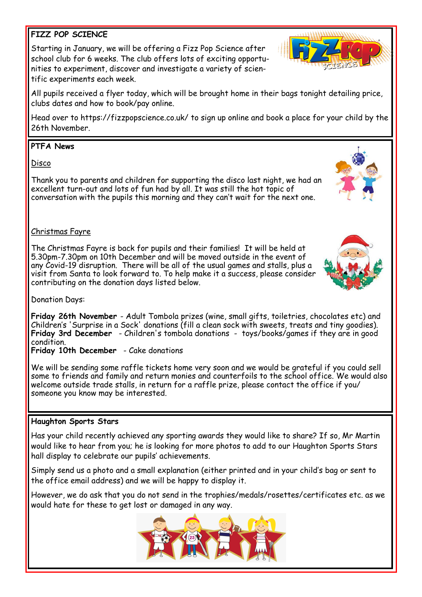# **FIZZ POP SCIENCE**

Starting in January, we will be offering a Fizz Pop Science after school club for 6 weeks. The club offers lots of exciting opportunities to experiment, discover and investigate a variety of scientific experiments each week.

All pupils received a flyer today, which will be brought home in their bags tonight detailing price, clubs dates and how to book/pay online.

Head over to https://fizzpopscience.co.uk/ to sign up online and book a place for your child by the 26th November.

# **PTFA News**

Disco

Thank you to parents and children for supporting the disco last night, we had an excellent turn-out and lots of fun had by all. It was still the hot topic of conversation with the pupils this morning and they can't wait for the next one.

## Christmas Fayre

The Christmas Fayre is back for pupils and their families! It will be held at 5.30pm-7.30pm on 10th December and will be moved outside in the event of any Covid-19 disruption. There will be all of the usual games and stalls, plus a visit from Santa to look forward to. To help make it a success, please consider contributing on the donation days listed below.

Donation Days:

**Friday 26th November** - Adult Tombola prizes (wine, small gifts, toiletries, chocolates etc) and Children's 'Surprise in a Sock' donations (fill a clean sock with sweets, treats and tiny goodies). **Friday 3rd December** - Children's tombola donations - toys/books/games if they are in good condition. **Friday 10th December** - Cake donations

We will be sending some raffle tickets home very soon and we would be grateful if you could sell some to friends and family and return monies and counterfoils to the school office. We would also welcome outside trade stalls, in return for a raffle prize, please contact the office if you/ someone you know may be interested.

# **Haughton Sports Stars**

Has your child recently achieved any sporting awards they would like to share? If so, Mr Martin would like to hear from you; he is looking for more photos to add to our Haughton Sports Stars hall display to celebrate our pupils' achievements.

Simply send us a photo and a small explanation (either printed and in your child's bag or sent to the office email address) and we will be happy to display it.

However, we do ask that you do not send in the trophies/medals/rosettes/certificates etc. as we would hate for these to get lost or damaged in any way.









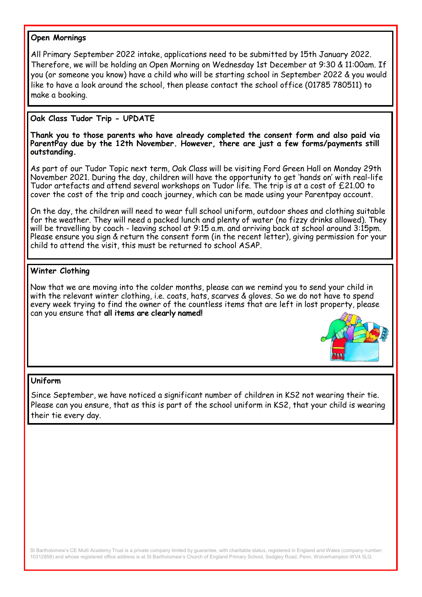#### **Open Mornings**

All Primary September 2022 intake, applications need to be submitted by 15th January 2022. Therefore, we will be holding an Open Morning on Wednesday 1st December at 9:30 & 11:00am. If you (or someone you know) have a child who will be starting school in September 2022 & you would like to have a look around the school, then please contact the school office (01785 780511) to make a booking.

## **Oak Class Tudor Trip - UPDATE**

**Thank you to those parents who have already completed the consent form and also paid via ParentPay due by the 12th November. However, there are just a few forms/payments still outstanding.**

As part of our Tudor Topic next term, Oak Class will be visiting Ford Green Hall on Monday 29th November 2021. During the day, children will have the opportunity to get 'hands on' with real-life Tudor artefacts and attend several workshops on Tudor life. The trip is at a cost of £21.00 to cover the cost of the trip and coach journey, which can be made using your Parentpay account.

On the day, the children will need to wear full school uniform, outdoor shoes and clothing suitable for the weather. They will need a packed lunch and plenty of water (no fizzy drinks allowed). They will be travelling by coach - leaving school at 9:15 a.m. and arriving back at school around 3:15pm. Please ensure you sign & return the consent form (in the recent letter), giving permission for your child to attend the visit, this must be returned to school ASAP.

### **Winter Clothing**

Now that we are moving into the colder months, please can we remind you to send your child in with the relevant winter clothing, i.e. coats, hats, scarves & gloves. So we do not have to spend every week trying to find the owner of the countless items that are left in lost property, please can you ensure that **all items are clearly named!** 



#### **Uniform**

Since September, we have noticed a significant number of children in KS2 not wearing their tie. Please can you ensure, that as this is part of the school uniform in KS2, that your child is wearing their tie every day.

St Bartholomew's CE Multi Academy Trust is a private company limited by guarantee, with charitable status, registered in England and Wales (company number: 10312858) and whose registered office address is at St Bartholomew's Church of England Primary School, Sedgley Road, Penn, Wolverhampton WV4 5LG.